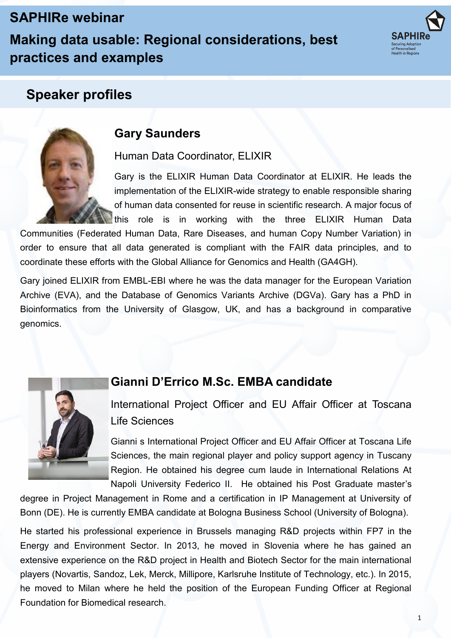# **SAPHIRe webinar**

**Making data usable: Regional considerations, best practices and examples**



## **Speaker profiles**



## **Gary Saunders**

Human Data Coordinator, ELIXIR

Gary is the ELIXIR Human Data Coordinator at ELIXIR. He leads the implementation of the ELIXIR-wide strategy to enable responsible sharing of human data consented for reuse in scientific research. A major focus of this role is in working with the three ELIXIR Human Data

Communities (Federated Human Data, Rare Diseases, and human Copy Number Variation) in order to ensure that all data generated is compliant with the FAIR data principles, and to coordinate these efforts with the Global Alliance for Genomics and Health (GA4GH).

Gary joined ELIXIR from EMBL-EBI where he was the data manager for the European Variation Archive (EVA), and the Database of Genomics Variants Archive (DGVa). Gary has a PhD in Bioinformatics from the University of Glasgow, UK, and has a background in comparative genomics.



### **Gianni D'Errico M.Sc. EMBA candidate**

International Project Officer and EU Affair Officer at Toscana Life Sciences

Gianni s International Project Officer and EU Affair Officer at Toscana Life Sciences, the main regional player and policy support agency in Tuscany Region. He obtained his degree cum laude in International Relations At Napoli University Federico II. He obtained his Post Graduate master's

degree in Project Management in Rome and a certification in IP Management at University of Bonn (DE). He is currently EMBA candidate at Bologna Business School (University of Bologna).

He started his professional experience in Brussels managing R&D projects within FP7 in the Energy and Environment Sector. In 2013, he moved in Slovenia where he has gained an extensive experience on the R&D project in Health and Biotech Sector for the main international players (Novartis, Sandoz, Lek, Merck, Millipore, Karlsruhe Institute of Technology, etc.). In 2015, he moved to Milan where he held the position of the European Funding Officer at Regional Foundation for Biomedical research.